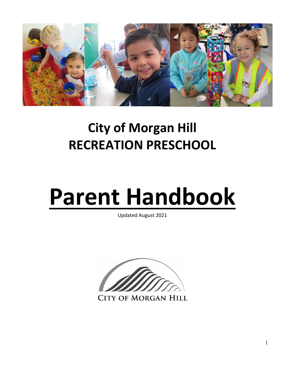

# **City of Morgan Hill RECREATION PRESCHOOL**

# **Parent Handbook**

Updated August 2021



**CITY OF MORGAN HILL**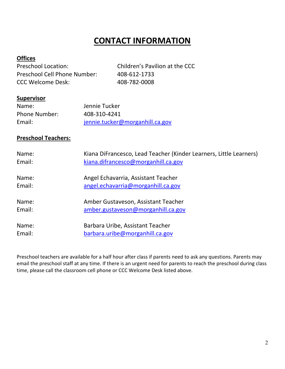# **CONTACT INFORMATION**

#### **Offices**

Preschool Location: Children's Pavilion at the CCC Preschool Cell Phone Number: 408-612-1733 CCC Welcome Desk: 408-782-0008

#### **Supervisor**

| Name:                | Jennie Tucker                   |
|----------------------|---------------------------------|
| <b>Phone Number:</b> | 408-310-4241                    |
| Email:               | jennie.tucker@morganhill.ca.gov |

#### **Preschool Teachers:**

| Name:<br>Email: | Kiana DiFrancesco, Lead Teacher (Kinder Learners, Little Learners)<br>kiana.difrancesco@morganhill.ca.gov |
|-----------------|-----------------------------------------------------------------------------------------------------------|
| Name:           | Angel Echavarria, Assistant Teacher                                                                       |
| Email:          | angel.echavarria@morganhill.ca.gov                                                                        |
| Name:           | Amber Gustaveson, Assistant Teacher                                                                       |
| Email:          | amber.gustaveson@morganhill.ca.gov                                                                        |
| Name:           | Barbara Uribe, Assistant Teacher                                                                          |
| Email:          | barbara.uribe@morganhill.ca.gov                                                                           |

Preschool teachers are available for a half hour after class if parents need to ask any questions. Parents may email the preschool staff at any time. If there is an urgent need for parents to reach the preschool during class time, please call the classroom cell phone or CCC Welcome Desk listed above.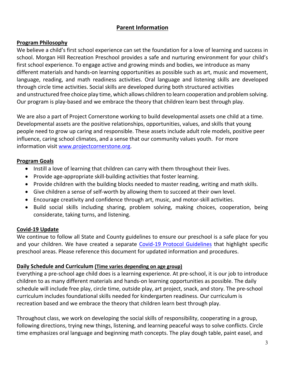#### **Parent Information**

#### **Program Philosophy**

We believe a child's first school experience can set the foundation for a love of learning and success in school. Morgan Hill Recreation Preschool provides a safe and nurturing environment for your child's first school experience. To engage active and growing minds and bodies, we introduce as many different materials and hands-on learning opportunities as possible such as art, music and movement, language, reading, and math readiness activities. Oral language and listening skills are developed through circle time activities. Social skills are developed during both structured activities and unstructured free choice play time, which allows children to learn cooperation and problem solving. Our program is play-based and we embrace the theory that children learn best through play.

We are also a part of Project Cornerstone working to build developmental assets one child at a time. Developmental assets are the positive relationships, opportunities, values, and skills that young people need to grow up caring and responsible. These assets include adult role models, positive peer influence, caring school climates, and a sense that our community values youth. For more information visit [www.projectcornerstone.org.](http://www.projectcornerstone.org/)

#### **Program Goals**

- Instill a love of learning that children can carry with them throughout their lives.
- Provide age-appropriate skill-building activities that foster learning.
- Provide children with the building blocks needed to master reading, writing and math skills.
- Give children a sense of self-worth by allowing them to succeed at their own level.
- Encourage creativity and confidence through art, music, and motor-skill activities.
- Build social skills including sharing, problem solving, making choices, cooperation, being considerate, taking turns, and listening.

#### **Covid-19 Update**

We continue to follow all State and County guidelines to ensure our preschool is a safe place for you and your children. We have created a separate [Covid-19 Protocol Guidelines](https://www.morgan-hill.ca.gov/DocumentCenter/View/37588/Morgan-Hill-Preschool-Covid-19-Protocols?bidId=) that highlight specific preschool areas. Please reference this document for updated information and procedures.

#### **Daily Schedule and Curriculum (Time varies depending on age group)**

Everything a pre-school age child does is a learning experience. At pre-school, it is our job to introduce children to as many different materials and hands-on learning opportunities as possible. The daily schedule will include free play, circle time, outside play, art project, snack, and story. The pre-school curriculum includes foundational skills needed for kindergarten readiness. Our curriculum is recreation based and we embrace the theory that children learn best through play.

Throughout class, we work on developing the social skills of responsibility, cooperating in a group, following directions, trying new things, listening, and learning peaceful ways to solve conflicts. Circle time emphasizes oral language and beginning math concepts. The play dough table, paint easel, and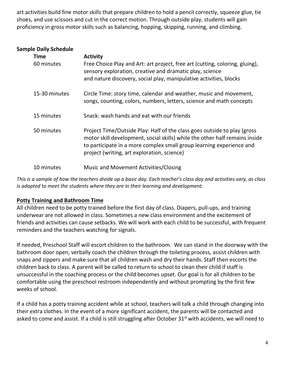art activities build fine motor skills that prepare children to hold a pencil correctly, squeeze glue, tie shoes, and use scissors and cut in the correct motion. Through outside play, students will gain proficiency in gross motor skills such as balancing, hopping, skipping, running, and climbing.

| <b>Sample Daily Schedule</b> |                                                                                                                                                                                                                                                                                 |
|------------------------------|---------------------------------------------------------------------------------------------------------------------------------------------------------------------------------------------------------------------------------------------------------------------------------|
| <b>Time</b>                  | <b>Activity</b>                                                                                                                                                                                                                                                                 |
| 60 minutes                   | Free Choice Play and Art: art project, free art (cutting, coloring, gluing),<br>sensory exploration, creative and dramatic play, science<br>and nature discovery, social play, manipulative activities, blocks                                                                  |
| 15-30 minutes                | Circle Time: story time, calendar and weather, music and movement,<br>songs, counting, colors, numbers, letters, science and math concepts                                                                                                                                      |
| 15 minutes                   | Snack: wash hands and eat with our friends                                                                                                                                                                                                                                      |
| 50 minutes                   | Project Time/Outside Play: Half of the class goes outside to play (gross)<br>motor skill development, social skills) while the other half remains inside<br>to participate in a more complex small group learning experience and<br>project (writing, art exploration, science) |
| 10 minutes                   | Music and Movement Activities/Closing                                                                                                                                                                                                                                           |

*This is a sample of how the teachers divide up a basic day. Each teacher's class day and activities vary, as class is adapted to meet the students where they are in their learning and development.* 

#### **Potty Training and Bathroom Time**

All children need to be potty trained before the first day of class. Diapers, pull-ups, and training underwear are not allowed in class. Sometimes a new class environment and the excitement of friends and activities can cause setbacks. We will work with each child to be successful, with frequent reminders and the teachers watching for signals.

If needed, Preschool Staff will escort children to the bathroom. We can stand in the doorway with the bathroom door open, verbally coach the children through the toileting process, assist children with snaps and zippers and make sure that all children wash and dry their hands. Staff then escorts the children back to class. A parent will be called to return to school to clean their child if staff is unsuccessful in the coaching process or the child becomes upset. Our goal is for all children to be comfortable using the preschool restroom independently and without prompting by the first few weeks of school.

If a child has a potty training accident while at school, teachers will talk a child through changing into their extra clothes. In the event of a more significant accident, the parents will be contacted and asked to come and assist. If a child is still struggling after October 31<sup>st</sup> with accidents, we will need to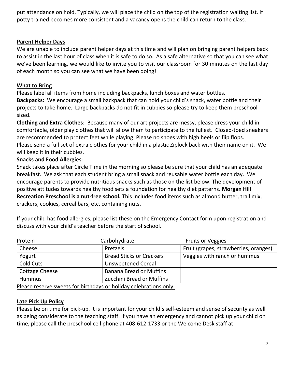put attendance on hold. Typically, we will place the child on the top of the registration waiting list. If potty trained becomes more consistent and a vacancy opens the child can return to the class.

#### **Parent Helper Days**

We are unable to include parent helper days at this time and will plan on bringing parent helpers back to assist in the last hour of class when it is safe to do so. As a safe alternative so that you can see what we've been learning, we would like to invite you to visit our classroom for 30 minutes on the last day of each month so you can see what we have been doing!

#### **What to Bring**

Please label all items from home including backpacks, lunch boxes and water bottles. **Backpacks:** We encourage a small backpack that can hold your child's snack, water bottle and their projects to take home. Large backpacks do not fit in cubbies so please try to keep them preschool sized.

**Clothing and Extra Clothes**: Because many of our art projects are messy, please dress your child in comfortable, older play clothes that will allow them to participate to the fullest. Closed-toed sneakers are recommended to protect feet while playing. Please no shoes with high heels or flip flops. Please send a full set of extra clothes for your child in a plastic Ziplock back with their name on it. We will keep it in their cubbies.

#### **Snacks and Food Allergies**:

Snack takes place after Circle Time in the morning so please be sure that your child has an adequate breakfast. We ask that each student bring a small snack and reusable water bottle each day. We encourage parents to provide nutritious snacks such as those on the list below. The development of positive attitudes towards healthy food sets a foundation for healthy diet patterns. **Morgan Hill Recreation Preschool is a nut-free school.** This includes food items such as almond butter, trail mix, crackers, cookies, cereal bars, etc. containing nuts.

discuss with your child's teacher before the start of school. Protein Carbohydrate Fruits or Veggies Cheese **Pretzels** Fruit (grapes, strawberries, oranges)

If your child has food allergies, please list these on the Emergency Contact form upon registration and

| Cheese                | Pretzels                         | Fruit (grapes, strawberries, oranges) |
|-----------------------|----------------------------------|---------------------------------------|
| Yogurt                | <b>Bread Sticks or Crackers</b>  | Veggies with ranch or hummus          |
| Cold Cuts             | Unsweetened Cereal               |                                       |
| <b>Cottage Cheese</b> | <b>Banana Bread or Muffins</b>   |                                       |
| <b>Hummus</b>         | <b>Zucchini Bread or Muffins</b> |                                       |
|                       |                                  |                                       |

Please reserve sweets for birthdays or holiday celebrations only.

#### **Late Pick Up Policy**

Please be on time for pick-up. It is important for your child's self-esteem and sense of security as well as being considerate to the teaching staff. If you have an emergency and cannot pick up your child on time, please call the preschool cell phone at 408-612-1733 or the Welcome Desk staff at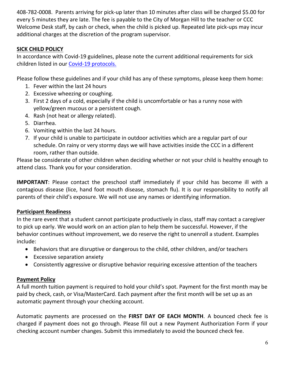408-782-0008. Parents arriving for pick-up later than 10 minutes after class will be charged \$5.00 for every 5 minutes they are late. The fee is payable to the City of Morgan Hill to the teacher or CCC Welcome Desk staff, by cash or check, when the child is picked up. Repeated late pick-ups may incur additional charges at the discretion of the program supervisor.

#### **SICK CHILD POLICY**

In accordance with Covid-19 guidelines, please note the current additional requirements for sick children listed in our [Covid-19 protocols.](https://www.morgan-hill.ca.gov/DocumentCenter/View/37588/Morgan-Hill-Preschool-Covid-19-Protocols?bidId=)

Please follow these guidelines and if your child has any of these symptoms, please keep them home:

- 1. Fever within the last 24 hours
- 2. Excessive wheezing or coughing.
- 3. First 2 days of a cold, especially if the child is uncomfortable or has a runny nose with yellow/green mucous or a persistent cough.
- 4. Rash (not heat or allergy related).
- 5. Diarrhea.
- 6. Vomiting within the last 24 hours.
- 7. If your child is unable to participate in outdoor activities which are a regular part of our schedule. On rainy or very stormy days we will have activities inside the CCC in a different room, rather than outside.

Please be considerate of other children when deciding whether or not your child is healthy enough to attend class. Thank you for your consideration.

**IMPORTANT**: Please contact the preschool staff immediately if your child has become ill with a contagious disease (lice, hand foot mouth disease, stomach flu). It is our responsibility to notify all parents of their child's exposure. We will not use any names or identifying information.

#### **Participant Readiness**

In the rare event that a student cannot participate productively in class, staff may contact a caregiver to pick up early. We would work on an action plan to help them be successful. However, if the behavior continues without improvement, we do reserve the right to unenroll a student. Examples include:

- Behaviors that are disruptive or dangerous to the child, other children, and/or teachers
- Excessive separation anxiety
- Consistently aggressive or disruptive behavior requiring excessive attention of the teachers

#### **Payment Policy**

A full month tuition payment is required to hold your child's spot. Payment for the first month may be paid by check, cash, or Visa/MasterCard. Each payment after the first month will be set up as an automatic payment through your checking account.

Automatic payments are processed on the **FIRST DAY OF EACH MONTH**. A bounced check fee is charged if payment does not go through. Please fill out a new Payment Authorization Form if your checking account number changes. Submit this immediately to avoid the bounced check fee.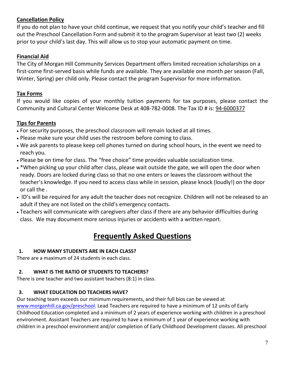#### **Cancellation Policy**

If you do not plan to have your child continue, we request that you notify your child's teacher and fill out the Preschool Cancellation Form and submit it to the program Supervisor at least two (2) weeks prior to your child's last day. This will allow us to stop your automatic payment on time.

#### **Financial Aid**

The City of Morgan Hill Community Services Department offers limited recreation scholarships on a first-come first-served basis while funds are available. They are available one month per season (Fall, Winter, Spring) per child only. Please contact the program Supervisor for more information.

#### **Tax Forms**

If you would like copies of your monthly tuition payments for tax purposes, please contact the Community and Cultural Center Welcome Desk at 408-782-0008. The Tax ID # is: 94-6000377

#### **Tips for Parents**

- For security purposes, the preschool classroom will remain locked at all times.
- Please make sure your child uses the restroom before coming to class.
- We ask parents to please keep cell phones turned on during school hours, in the event we need to reach you.
- Please be on time for class. The "free choice" time provides valuable socialization time.
- \*When picking up your child after class, please wait outside the gate, we will open the door when ready. Doors are locked during class so that no one enters or leaves the classroom without the teacher's knowledge. If you need to access class while in session, please knock (loudly!) on the door or call the .
- ID's will be required for any adult the teacher does not recognize. Children will not be released to an adult if they are not listed on the child's emergency contacts.
- Teachers will communicate with caregivers after class if there are any behavior difficulties during class. We may document more serious injuries or accidents with a written report.

## **Frequently Asked Questions**

#### **1. HOW MANY STUDENTS ARE IN EACH CLASS?**

There are a maximum of 24 students in each class.

#### **2. WHAT IS THE RATIO OF STUDENTS TO TEACHERS?**

There is one teacher and two assistant teachers (8:1) in class.

#### **3. WHAT EDUCATION DO TEACHERS HAVE?**

Our teaching team exceeds our minimum requirements, and their full bios can be viewed at [www.morganhill.ca.gov/preschool.](http://www.morganhill.ca.gov/preschool) Lead Teachers are required to have a minimum of 12 units of Early Childhood Education completed and a minimum of 2 years of experience working with children in a preschool environment. Assistant Teachers are required to have a minimum of 1 year of experience working with children in a preschool environment and/or completion of Early Childhood Development classes. All preschool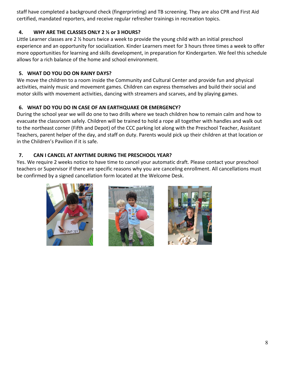staff have completed a background check (fingerprinting) and TB screening. They are also CPR and First Aid certified, mandated reporters, and receive regular refresher trainings in recreation topics.

#### **4. WHY ARE THE CLASSES ONLY 2 ½ or 3 HOURS?**

Little Learner classes are 2 ½ hours twice a week to provide the young child with an initial preschool experience and an opportunity for socialization. Kinder Learners meet for 3 hours three times a week to offer more opportunities for learning and skills development, in preparation for Kindergarten. We feel this schedule allows for a rich balance of the home and school environment.

#### **5. WHAT DO YOU DO ON RAINY DAYS?**

We move the children to a room inside the Community and Cultural Center and provide fun and physical activities, mainly music and movement games. Children can express themselves and build their social and motor skills with movement activities, dancing with streamers and scarves, and by playing games.

#### **6. WHAT DO YOU DO IN CASE OF AN EARTHQUAKE OR EMERGENCY?**

During the school year we will do one to two drills where we teach children how to remain calm and how to evacuate the classroom safely. Children will be trained to hold a rope all together with handles and walk out to the northeast corner (Fifth and Depot) of the CCC parking lot along with the Preschool Teacher, Assistant Teachers, parent helper of the day, and staff on duty. Parents would pick up their children at that location or in the Children's Pavilion if it is safe.

#### **7. CAN I CANCEL AT ANYTIME DURING THE PRESCHOOL YEAR?**

Yes. We require 2 weeks notice to have time to cancel your automatic draft. Please contact your preschool teachers or Supervisor if there are specific reasons why you are canceling enrollment. All cancellations must be confirmed by a signed cancellation form located at the Welcome Desk.

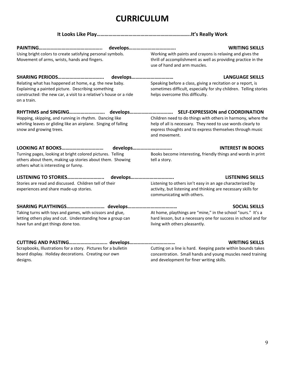# **CURRICULUM**

#### **It Looks Like Play……………………………………………………………..It's Really Work**

|                                                                                                                                        |  | <b>WRITING SKILLS</b>                                                                                                      |
|----------------------------------------------------------------------------------------------------------------------------------------|--|----------------------------------------------------------------------------------------------------------------------------|
| Using bright colors to create satisfying personal symbols.<br>Movement of arms, wrists, hands and fingers.                             |  | Working with paints and crayons is relaxing and gives the<br>thrill of accomplishment as well as providing practice in the |
|                                                                                                                                        |  | use of hand and arm muscles.                                                                                               |
|                                                                                                                                        |  | <b>LANGUAGE SKILLS</b><br>develops                                                                                         |
| Relating what has happened at home, e.g. the new baby.                                                                                 |  | Speaking before a class, giving a recitation or a report, is                                                               |
| Explaining a painted picture. Describing something<br>constructed: the new car, a visit to a relative's house or a ride<br>on a train. |  | sometimes difficult, especially for shy children. Telling stories<br>helps overcome this difficulty.                       |
|                                                                                                                                        |  |                                                                                                                            |
| Hopping, skipping, and running in rhythm. Dancing like                                                                                 |  | Children need to do things with others in harmony, where the                                                               |
| whirling leaves or gliding like an airplane. Singing of falling<br>snow and growing trees.                                             |  | help of all is necessary. They need to use words clearly to<br>express thoughts and to express themselves through music    |
|                                                                                                                                        |  | and movement.                                                                                                              |
|                                                                                                                                        |  | <b>INTEREST IN BOOKS</b><br>develops                                                                                       |
| Turning pages, looking at bright colored pictures. Telling                                                                             |  | Books become interesting, friendly things and words in print                                                               |
| others about them, making up stories about them. Showing<br>others what is interesting or funny.                                       |  | tell a story.                                                                                                              |
| LISTENING TO STORIES                                                                                                                   |  | <b>LISTENING SKILLS</b><br>develops                                                                                        |
| Stories are read and discussed. Children tell of their                                                                                 |  | Listening to others isn't easy in an age characterized by                                                                  |
| experiences and share made-up stories.                                                                                                 |  | activity, but listening and thinking are necessary skills for<br>communicating with others.                                |
|                                                                                                                                        |  | <b>SOCIAL SKILLS</b>                                                                                                       |
| Taking turns with toys and games, with scissors and glue,                                                                              |  | At home, playthings are "mine," in the school "ours." It's a                                                               |
| letting others play and cut. Understanding how a group can<br>have fun and get things done too.                                        |  | hard lesson, but a necessary one for success in school and for<br>living with others pleasantly.                           |
|                                                                                                                                        |  | <b>WRITING SKILLS</b>                                                                                                      |
| Scrapbooks, Illustrations for a story. Pictures for a bulletin                                                                         |  | Cutting on a line is hard. Keeping paste within bounds takes                                                               |
| board display. Holiday decorations. Creating our own<br>designs.                                                                       |  | concentration. Small hands and young muscles need training<br>and development for finer writing skills.                    |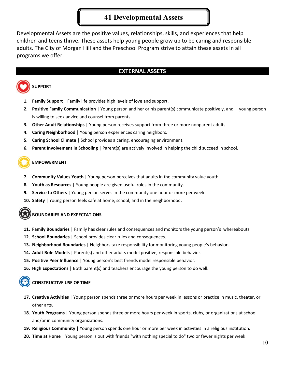#### **41 Developmental Assets**

Developmental Assets are the positive values, relationships, skills, and experiences that help children and teens thrive. These assets help young people grow up to be caring and responsible adults. The City of Morgan Hill and the Preschool Program strive to attain these assets in all programs we offer.

#### **EXTERNAL ASSETS**

#### **SUPPORT**

- **1. Family Support** | Family life provides high levels of love and support.
- **2. Positive Family Communication** | Young person and her or his parent(s) communicate positively, and young person is willing to seek advice and counsel from parents.
- **3. Other Adult Relationships** | Young person receives support from three or more nonparent adults.
- **4. Caring Neighborhood** | Young person experiences caring neighbors.
- **5. Caring School Climate** | School provides a caring, encouraging environment.
- **6. Parent Involvement in Schooling** | Parent(s) are actively involved in helping the child succeed in school.

#### **EMPOWERMENT**

- **7. Community Values Youth** | Young person perceives that adults in the community value youth.
- **8. Youth as Resources** | Young people are given useful roles in the community.
- **9. Service to Others** | Young person serves in the community one hour or more per week.
- **10. Safety** | Young person feels safe at home, school, and in the neighborhood.

#### **BOUNDARIES AND EXPECTATIONS**

- **11. Family Boundaries** | Family has clear rules and consequences and monitors the young person's whereabouts.
- **12. School Boundaries** | School provides clear rules and consequences.
- **13. Neighborhood Boundaries** | Neighbors take responsibility for monitoring young people's behavior.
- **14. Adult Role Models** | Parent(s) and other adults model positive, responsible behavior.
- **15. Positive Peer Influence** | Young person's best friends model responsible behavior.
- **16. High Expectations** | Both parent(s) and teachers encourage the young person to do well.

#### **CONSTRUCTIVE USE OF TIME**

- **17. Creative Activities** | Young person spends three or more hours per week in lessons or practice in music, theater, or other arts.
- **18. Youth Programs** | Young person spends three or more hours per week in sports, clubs, or organizations at school and/or in community organizations.
- **19. Religious Community** | Young person spends one hour or more per week in activities in a religious institution.
- **20. Time at Home** | Young person is out with friends "with nothing special to do" two or fewer nights per week.